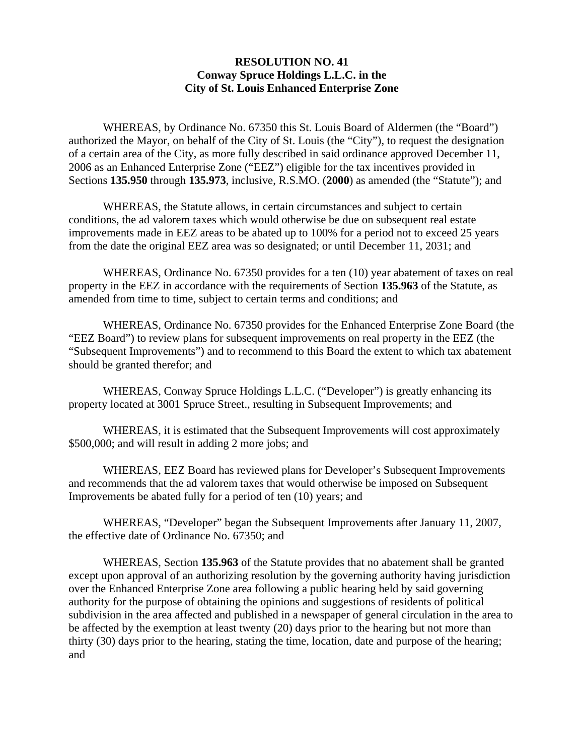## **RESOLUTION NO. 41 Conway Spruce Holdings L.L.C. in the City of St. Louis Enhanced Enterprise Zone**

 WHEREAS, by Ordinance No. 67350 this St. Louis Board of Aldermen (the "Board") authorized the Mayor, on behalf of the City of St. Louis (the "City"), to request the designation of a certain area of the City, as more fully described in said ordinance approved December 11, 2006 as an Enhanced Enterprise Zone ("EEZ") eligible for the tax incentives provided in Sections **135.950** through **135.973**, inclusive, R.S.MO. (**2000**) as amended (the "Statute"); and

 WHEREAS, the Statute allows, in certain circumstances and subject to certain conditions, the ad valorem taxes which would otherwise be due on subsequent real estate improvements made in EEZ areas to be abated up to 100% for a period not to exceed 25 years from the date the original EEZ area was so designated; or until December 11, 2031; and

 WHEREAS, Ordinance No. 67350 provides for a ten (10) year abatement of taxes on real property in the EEZ in accordance with the requirements of Section **135.963** of the Statute, as amended from time to time, subject to certain terms and conditions; and

 WHEREAS, Ordinance No. 67350 provides for the Enhanced Enterprise Zone Board (the "EEZ Board") to review plans for subsequent improvements on real property in the EEZ (the "Subsequent Improvements") and to recommend to this Board the extent to which tax abatement should be granted therefor; and

 WHEREAS, Conway Spruce Holdings L.L.C. ("Developer") is greatly enhancing its property located at 3001 Spruce Street., resulting in Subsequent Improvements; and

 WHEREAS, it is estimated that the Subsequent Improvements will cost approximately \$500,000; and will result in adding 2 more jobs; and

 WHEREAS, EEZ Board has reviewed plans for Developer's Subsequent Improvements and recommends that the ad valorem taxes that would otherwise be imposed on Subsequent Improvements be abated fully for a period of ten (10) years; and

 WHEREAS, "Developer" began the Subsequent Improvements after January 11, 2007, the effective date of Ordinance No. 67350; and

 WHEREAS, Section **135.963** of the Statute provides that no abatement shall be granted except upon approval of an authorizing resolution by the governing authority having jurisdiction over the Enhanced Enterprise Zone area following a public hearing held by said governing authority for the purpose of obtaining the opinions and suggestions of residents of political subdivision in the area affected and published in a newspaper of general circulation in the area to be affected by the exemption at least twenty (20) days prior to the hearing but not more than thirty (30) days prior to the hearing, stating the time, location, date and purpose of the hearing; and